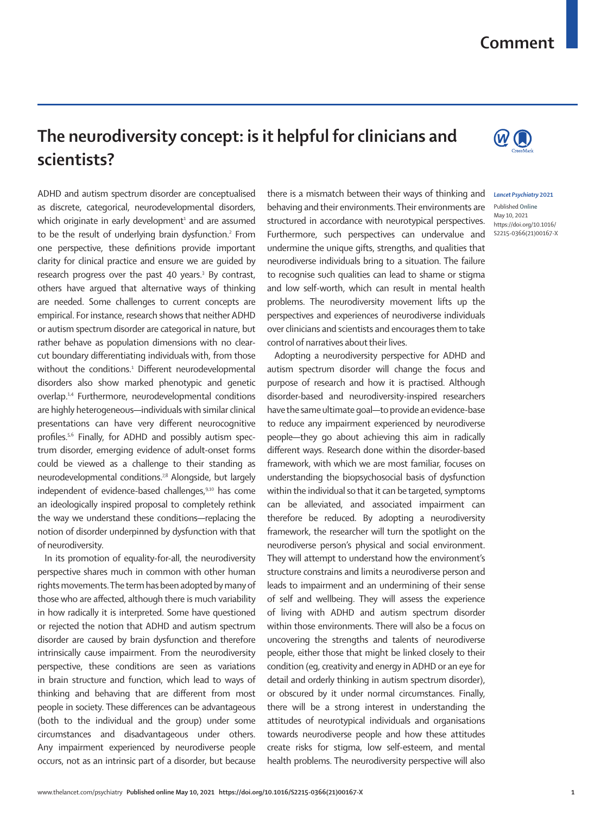## **Comment**

## **The neurodiversity concept: is it helpful for clinicians and scientists?**

ADHD and autism spectrum disorder are conceptualised as discrete, categorical, neurodevelopmental disorders, which originate in early development<sup>1</sup> and are assumed to be the result of underlying brain dysfunction.<sup>2</sup> From one perspective, these definitions provide important clarity for clinical practice and ensure we are guided by research progress over the past 40 years.<sup>3</sup> By contrast, others have argued that alternative ways of thinking are needed. Some challenges to current concepts are empirical. For instance, research shows that neither ADHD or autism spectrum disorder are categorical in nature, but rather behave as population dimensions with no clearcut boundary differentiating individuals with, from those without the conditions.<sup>1</sup> Different neurodevelopmental disorders also show marked phenotypic and genetic overlap.1,4 Furthermore, neurodevelopmental conditions are highly heterogeneous—individuals with similar clinical presentations can have very different neurocognitive profiles.5,6 Finally, for ADHD and possibly autism spectrum disorder, emerging evidence of adult-onset forms could be viewed as a challenge to their standing as neurodevelopmental conditions.<sup>78</sup> Alongside, but largely independent of evidence-based challenges,<sup>9,10</sup> has come an ideologically inspired proposal to completely rethink the way we understand these conditions—replacing the notion of disorder underpinned by dysfunction with that of neurodiversity.

In its promotion of equality-for-all, the neurodiversity perspective shares much in common with other human rights movements. The term has been adopted by many of those who are affected, although there is much variability in how radically it is interpreted. Some have questioned or rejected the notion that ADHD and autism spectrum disorder are caused by brain dysfunction and therefore intrinsically cause impairment. From the neurodiversity perspective, these conditions are seen as variations in brain structure and function, which lead to ways of thinking and behaving that are different from most people in society. These differences can be advantageous (both to the individual and the group) under some circumstances and disadvantageous under others. Any impairment experienced by neurodiverse people occurs, not as an intrinsic part of a disorder, but because there is a mismatch between their ways of thinking and behaving and their environments. Their environments are structured in accordance with neurotypical perspectives. Furthermore, such perspectives can undervalue and undermine the unique gifts, strengths, and qualities that neurodiverse individuals bring to a situation. The failure to recognise such qualities can lead to shame or stigma and low self-worth, which can result in mental health problems. The neurodiversity movement lifts up the perspectives and experiences of neurodiverse individuals over clinicians and scientists and encourages them to take control of narratives about their lives.

Adopting a neurodiversity perspective for ADHD and autism spectrum disorder will change the focus and purpose of research and how it is practised. Although disorder-based and neurodiversity-inspired researchers have the same ultimate goal—to provide an evidence-base to reduce any impairment experienced by neurodiverse people—they go about achieving this aim in radically different ways. Research done within the disorder-based framework, with which we are most familiar, focuses on understanding the biopsychosocial basis of dysfunction within the individual so that it can be targeted, symptoms can be alleviated, and associated impairment can therefore be reduced. By adopting a neurodiversity framework, the researcher will turn the spotlight on the neurodiverse person's physical and social environment. They will attempt to understand how the environment's structure constrains and limits a neurodiverse person and leads to impairment and an undermining of their sense of self and wellbeing. They will assess the experience of living with ADHD and autism spectrum disorder within those environments. There will also be a focus on uncovering the strengths and talents of neurodiverse people, either those that might be linked closely to their condition (eg, creativity and energy in ADHD or an eye for detail and orderly thinking in autism spectrum disorder), or obscured by it under normal circumstances. Finally, there will be a strong interest in understanding the attitudes of neurotypical individuals and organisations towards neurodiverse people and how these attitudes create risks for stigma, low self-esteem, and mental health problems. The neurodiversity perspective will also



## *Lancet Psychiatry* **2021**

Published **Online** May 10, 2021 https://doi.org/10.1016/ S2215-0366(21)00167-X